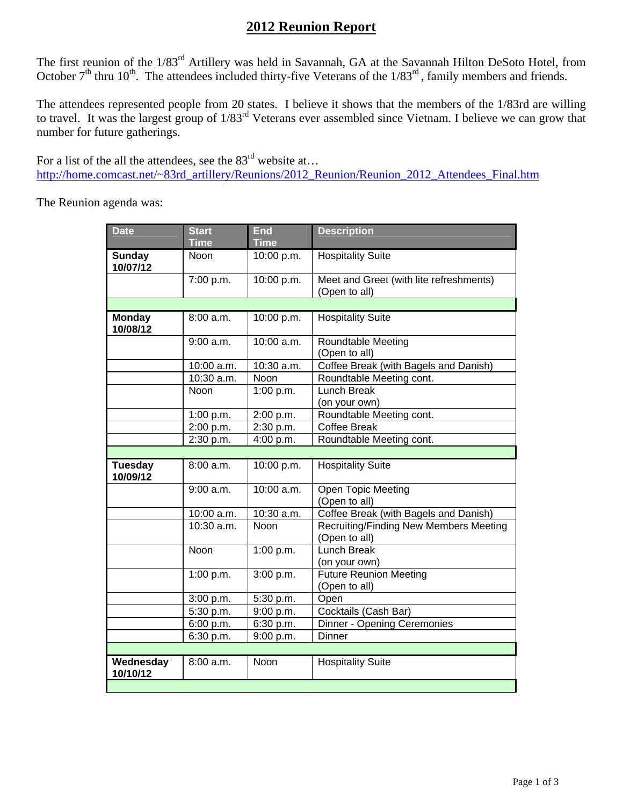## **2012 Reunion Report**

The first reunion of the 1/83rd Artillery was held in Savannah, GA at the Savannah Hilton DeSoto Hotel, from October  $7<sup>th</sup>$  thru 10<sup>th</sup>. The attendees included thirty-five Veterans of the  $1/83<sup>rd</sup>$ , family members and friends.

The attendees represented people from 20 states. I believe it shows that the members of the 1/83rd are willing to travel. It was the largest group of 1/83<sup>rd</sup> Veterans ever assembled since Vietnam. I believe we can grow that number for future gatherings.

For a list of the all the attendees, see the  $83<sup>rd</sup>$  website at... http://home.comcast.net/~83rd\_artillery/Reunions/2012\_Reunion/Reunion\_2012\_Attendees\_Final.htm

The Reunion agenda was:

| <b>Date</b>                | <b>Start</b> | <b>End</b>  | <b>Description</b>                                             |
|----------------------------|--------------|-------------|----------------------------------------------------------------|
|                            | <b>Time</b>  | <b>Time</b> |                                                                |
| <b>Sunday</b><br>10/07/12  | Noon         | 10:00 p.m.  | <b>Hospitality Suite</b>                                       |
|                            | 7:00 p.m.    | 10:00 p.m.  | Meet and Greet (with lite refreshments)<br>(Open to all)       |
|                            |              |             |                                                                |
| <b>Monday</b><br>10/08/12  | 8:00a.m.     | 10:00 p.m.  | <b>Hospitality Suite</b>                                       |
|                            | 9:00 a.m.    | 10:00 a.m.  | Roundtable Meeting<br>(Open to all)                            |
|                            | 10:00 a.m.   | 10:30 a.m.  | Coffee Break (with Bagels and Danish)                          |
|                            | 10:30 a.m.   | Noon        | Roundtable Meeting cont.                                       |
|                            | <b>Noon</b>  | 1:00 p.m.   | Lunch Break                                                    |
|                            |              |             | (on your own)                                                  |
|                            | 1:00 p.m.    | 2:00 p.m.   | Roundtable Meeting cont.                                       |
|                            | 2:00 p.m.    | 2:30 p.m.   | <b>Coffee Break</b>                                            |
|                            | 2:30 p.m.    | 4:00 p.m.   | Roundtable Meeting cont.                                       |
|                            |              |             |                                                                |
| <b>Tuesday</b><br>10/09/12 | 8:00 a.m.    | 10:00 p.m.  | <b>Hospitality Suite</b>                                       |
|                            | $9:00$ a.m.  | 10:00 a.m.  | <b>Open Topic Meeting</b><br>(Open to all)                     |
|                            | 10:00 a.m.   | 10:30 a.m.  | Coffee Break (with Bagels and Danish)                          |
|                            | $10:30$ a.m. | Noon        | <b>Recruiting/Finding New Members Meeting</b><br>(Open to all) |
|                            | Noon         | 1:00 p.m.   | <b>Lunch Break</b><br>(on your own)                            |
|                            | 1:00 p.m.    | 3:00 p.m.   | <b>Future Reunion Meeting</b><br>(Open to all)                 |
|                            | 3:00 p.m.    | 5:30 p.m.   | Open                                                           |
|                            | 5:30 p.m.    | 9:00 p.m.   | Cocktails (Cash Bar)                                           |
|                            | 6:00 p.m.    | 6:30 p.m.   | Dinner - Opening Ceremonies                                    |
|                            | 6:30 p.m.    | 9:00 p.m.   | <b>Dinner</b>                                                  |
|                            |              |             |                                                                |
| Wednesday<br>10/10/12      | 8:00 a.m.    | Noon        | <b>Hospitality Suite</b>                                       |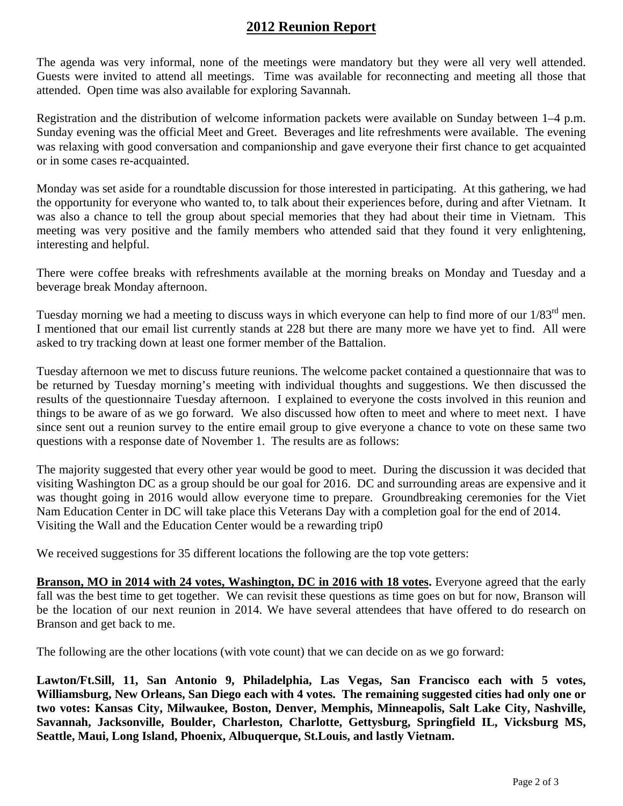## **2012 Reunion Report**

The agenda was very informal, none of the meetings were mandatory but they were all very well attended. Guests were invited to attend all meetings. Time was available for reconnecting and meeting all those that attended. Open time was also available for exploring Savannah.

Registration and the distribution of welcome information packets were available on Sunday between 1–4 p.m. Sunday evening was the official Meet and Greet. Beverages and lite refreshments were available. The evening was relaxing with good conversation and companionship and gave everyone their first chance to get acquainted or in some cases re-acquainted.

Monday was set aside for a roundtable discussion for those interested in participating. At this gathering, we had the opportunity for everyone who wanted to, to talk about their experiences before, during and after Vietnam. It was also a chance to tell the group about special memories that they had about their time in Vietnam. This meeting was very positive and the family members who attended said that they found it very enlightening, interesting and helpful.

There were coffee breaks with refreshments available at the morning breaks on Monday and Tuesday and a beverage break Monday afternoon.

Tuesday morning we had a meeting to discuss ways in which everyone can help to find more of our  $1/83^{rd}$  men. I mentioned that our email list currently stands at 228 but there are many more we have yet to find. All were asked to try tracking down at least one former member of the Battalion.

Tuesday afternoon we met to discuss future reunions. The welcome packet contained a questionnaire that was to be returned by Tuesday morning's meeting with individual thoughts and suggestions. We then discussed the results of the questionnaire Tuesday afternoon. I explained to everyone the costs involved in this reunion and things to be aware of as we go forward. We also discussed how often to meet and where to meet next. I have since sent out a reunion survey to the entire email group to give everyone a chance to vote on these same two questions with a response date of November 1. The results are as follows:

The majority suggested that every other year would be good to meet. During the discussion it was decided that visiting Washington DC as a group should be our goal for 2016. DC and surrounding areas are expensive and it was thought going in 2016 would allow everyone time to prepare. Groundbreaking ceremonies for the Viet Nam Education Center in DC will take place this Veterans Day with a completion goal for the end of 2014. Visiting the Wall and the Education Center would be a rewarding trip0

We received suggestions for 35 different locations the following are the top vote getters:

**Branson, MO in 2014 with 24 votes, Washington, DC in 2016 with 18 votes.** Everyone agreed that the early fall was the best time to get together. We can revisit these questions as time goes on but for now, Branson will be the location of our next reunion in 2014. We have several attendees that have offered to do research on Branson and get back to me.

The following are the other locations (with vote count) that we can decide on as we go forward:

**Lawton/Ft.Sill, 11, San Antonio 9, Philadelphia, Las Vegas, San Francisco each with 5 votes, Williamsburg, New Orleans, San Diego each with 4 votes. The remaining suggested cities had only one or two votes: Kansas City, Milwaukee, Boston, Denver, Memphis, Minneapolis, Salt Lake City, Nashville, Savannah, Jacksonville, Boulder, Charleston, Charlotte, Gettysburg, Springfield IL, Vicksburg MS, Seattle, Maui, Long Island, Phoenix, Albuquerque, St.Louis, and lastly Vietnam.**